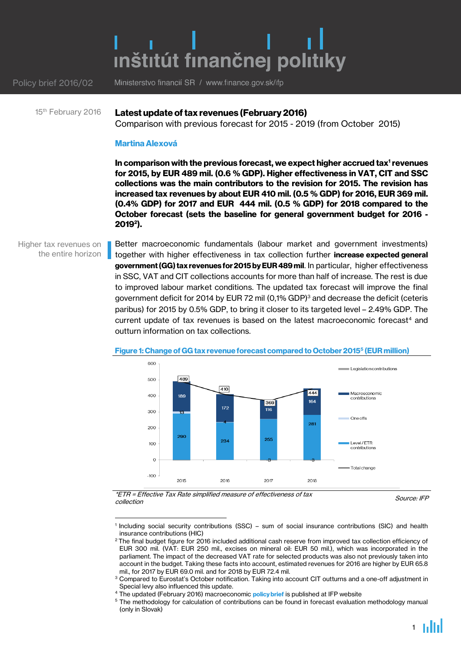# inštitút finančnej politiky

Ministerstvo financií SR / www.finance.gov.sk/ifp Policy brief 2016/02

#### **Latest update of tax revenues (February 2016)** 15<sup>th</sup> February 2016

Comparison with previous forecast for 2015 - 2019 (from October 2015)

#### **Martina Alexová**

**In comparison with the previous forecast, we expect higher accrued tax<sup>1</sup> revenues for 2015, by EUR 489 mil. (0.6 % GDP). Higher effectiveness in VAT, CIT and SSC collections was the main contributors to the revision for 2015. The revision has increased tax revenues by about EUR 410 mil. (0.5 % GDP) for 2016, EUR 369 mil. (0.4% GDP) for 2017 and EUR 444 mil. (0.5 % GDP) for 2018 compared to the October forecast (sets the baseline for general government budget for 2016 - 2019 2 ).**

Higher tax revenues on the entire horizon

Better macroeconomic fundamentals (labour market and government investments) together with higher effectiveness in tax collection further **increase expected general government (GG) tax revenues for 2015by EUR 489 mil**. In particular, higher effectiveness in SSC, VAT and CIT collections accounts for more than half of increase. The rest is due to improved labour market conditions. The updated tax forecast will improve the final government deficit for 2014 by EUR 72 mil (0,1% GDP) <sup>3</sup> and decrease the deficit (ceteris paribus) for 2015 by 0.5% GDP, to bring it closer to its targeted level – 2.49% GDP. The current update of tax revenues is based on the latest macroeconomic forecast<sup>4</sup> and outturn information on tax collections.



#### **Figure 1: Change of GG tax revenue forecast compared to October 2015<sup>5</sup> (EUR million)**

\*ETR = Effective Tax Rate simplified measure of effectiveness of tax collection

1



<sup>1</sup> Including social security contributions (SSC) – sum of social insurance contributions (SIC) and health insurance contributions (HIC)

 $^2$ The final budget figure for 2016 included additional cash reserve from improved tax collection efficiency of EUR 300 mil. (VAT: EUR 250 mil., excises on mineral oil: EUR 50 mil.), which was incorporated in the parliament. The impact of the decreased VAT rate for selected products was also not previously taken into account in the budget. Taking these facts into account, estimated revenues for 2016 are higher by EUR 65.8 mil., for 2017 by EUR 69.0 mil. and for 2018 by EUR 72.4 mil.

<sup>&</sup>lt;sup>3</sup> Compared to Eurostat's October notification. Taking into account CIT outturns and a one-off adjustment in Special levy also influenced this update.

<sup>4</sup> The updated (February 2016) macroeconomic **[policy brief](http://www.finance.gov.sk/en/Default.aspx?CatID=720)** is published at IFP website

<sup>&</sup>lt;sup>5</sup> The methodology for calculation of contributions can be found in forecast evaluation methodology manual (only in Slovak)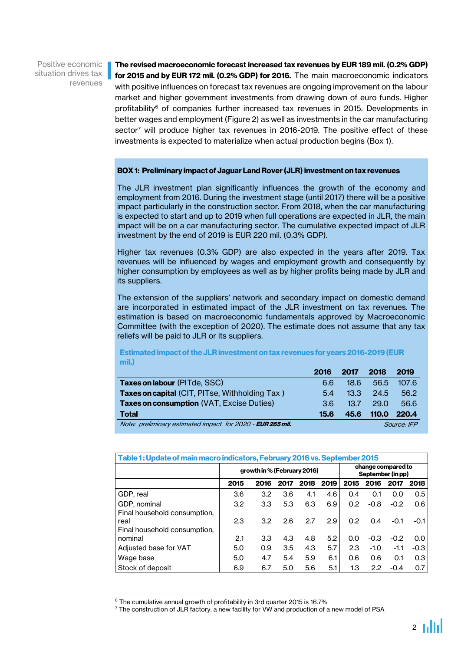Positive economic situation drives tax revenues

**The revised macroeconomic forecast increased tax revenues by EUR 189 mil. (0.2% GDP) for 2015 and by EUR 172 mil. (0.2% GDP) for 2016.** The main macroeconomic indicators with positive influences on forecast tax revenues are ongoing improvement on the labour market and higher government investments from drawing down of euro funds. Higher profitability $6$  of companies further increased tax revenues in 2015. Developments in better wages and employment (Figure 2) as well as investments in the car manufacturing sector<sup>7</sup> will produce higher tax revenues in 2016-2019. The positive effect of these investments is expected to materialize when actual production begins (Box 1).

#### **BOX 1: Preliminary impact of Jaguar Land Rover (JLR) investment on tax revenues**

The JLR investment plan significantly influences the growth of the economy and employment from 2016. During the investment stage (until 2017) there will be a positive impact particularly in the construction sector. From 2018, when the car manufacturing is expected to start and up to 2019 when full operations are expected in JLR, the main impact will be on a car manufacturing sector. The cumulative expected impact of JLR investment by the end of 2019 is EUR 220 mil. (0.3% GDP).

Higher tax revenues (0.3% GDP) are also expected in the years after 2019. Tax revenues will be influenced by wages and employment growth and consequently by higher consumption by employees as well as by higher profits being made by JLR and its suppliers.

The extension of the suppliers' network and secondary impact on domestic demand are incorporated in estimated impact of the JLR investment on tax revenues. The estimation is based on macroeconomic fundamentals approved by Macroeconomic Committee (with the exception of 2020). The estimate does not assume that any tax reliefs will be paid to JLR or its suppliers.

**Estimated impact of the JLR investment on tax revenues for years 2016-2019 (EUR mil.)**

|                                                            | 2016 | 2017               | 2018  | 2019        |
|------------------------------------------------------------|------|--------------------|-------|-------------|
| Taxes on labour (PITde, SSC)                               | 6.6  | 18.6               | 56.5  | 107.6       |
| Taxes on capital (CIT, PITse, Withholding Tax)             | 5.4  | 13.3 <sub>13</sub> | 24.5  | 56.2        |
| Taxes on consumption (VAT, Excise Duties)                  | 36   | 137                | 29.0  | 56.6        |
| <b>Total</b>                                               | 15.6 | 45.6               | 110.0 | 220.4       |
| Note: preliminary estimated impact for 2020 - EUR 265 mil. |      |                    |       | Source: IFP |

| Table 1: Update of main macro indicators, February 2016 vs. September 2015 |      |                             |      |                                         |      |      |        |        |        |  |  |  |  |
|----------------------------------------------------------------------------|------|-----------------------------|------|-----------------------------------------|------|------|--------|--------|--------|--|--|--|--|
|                                                                            |      | growth in % (February 2016) |      | change compared to<br>September (in pp) |      |      |        |        |        |  |  |  |  |
|                                                                            | 2015 | 2016                        | 2017 | 2018                                    | 2019 | 2015 | 2016   | 2017   | 2018   |  |  |  |  |
| GDP, real                                                                  | 3.6  | 3.2                         | 3.6  | 4.1                                     | 4.6  | 0.4  | 0.1    | 0.0    | 0.5    |  |  |  |  |
| GDP, nominal<br>Final household consumption,                               | 3.2  | 3.3                         | 5.3  | 6.3                                     | 6.9  | 0.2  | $-0.8$ | $-0.2$ | 0.6    |  |  |  |  |
| real<br>Final household consumption,                                       | 2.3  | 3.2                         | 2.6  | 2.7                                     | 2.9  | 0.2  | 0.4    | $-0.1$ | $-0.1$ |  |  |  |  |
| nominal                                                                    | 2.1  | 3.3                         | 4.3  | 4.8                                     | 5.2  | 0.0  | $-0.3$ | $-0.2$ | 0.0    |  |  |  |  |
| Adjusted base for VAT                                                      | 5.0  | 0.9                         | 3.5  | 4.3                                     | 5.7  | 2.3  | $-1.0$ | $-1.1$ | $-0.3$ |  |  |  |  |
| Wage base                                                                  | 5.0  | 4.7                         | 5.4  | 5.9                                     | 6.1  | 0.6  | 0.6    | 0.1    | 0.3    |  |  |  |  |
| Stock of deposit                                                           | 6.9  | 6.7                         | 5.0  | 5.6                                     | 5.1  | 1.3  | 2.2    | $-0.4$ | 0.7    |  |  |  |  |

 $6$  The cumulative annual growth of profitability in 3rd quarter 2015 is 16.7%

1

 $7$  The construction of JLR factory, a new facility for VW and production of a new model of PSA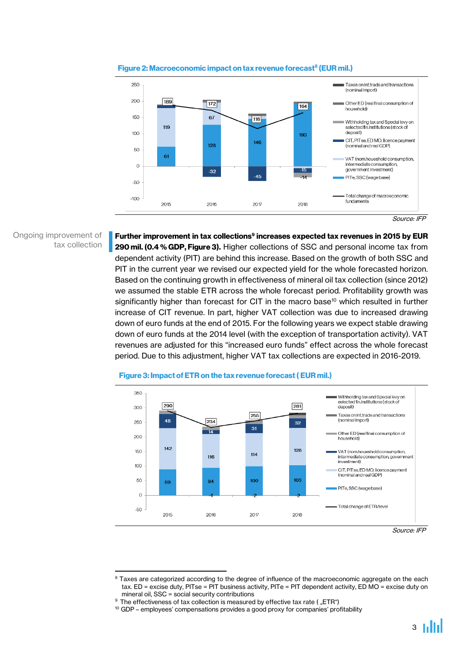

### **Figure 2: Macroeconomic impact on tax revenue forecast<sup>8</sup> (EUR mil.)**

Ongoing improvement of tax collection

**Further improvement in tax collections 9 increases expected tax revenues in 2015 by EUR 290 mil. (0.4 % GDP, Figure 3).** Higher collections of SSC and personal income tax from dependent activity (PIT) are behind this increase. Based on the growth of both SSC and PIT in the current year we revised our expected yield for the whole forecasted horizon. Based on the continuing growth in effectiveness of mineral oil tax collection (since 2012) we assumed the stable ETR across the whole forecast period. Profitability growth was significantly higher than forecast for CIT in the macro base<sup>10</sup> which resulted in further increase of CIT revenue. In part, higher VAT collection was due to increased drawing down of euro funds at the end of 2015. For the following years we expect stable drawing down of euro funds at the 2014 level (with the exception of transportation activity). VAT revenues are adjusted for this "increased euro funds" effect across the whole forecast period. Due to this adjustment, higher VAT tax collections are expected in 2016-2019.



#### **Figure 3: Impact of ETR on the tax revenue forecast ( EUR mil.)**

Source: IFP

Source: IFP

<sup>1</sup> <sup>8</sup> Taxes are categorized according to the degree of influence of the macroeconomic aggregate on the each tax. ED = excise duty, PITse = PIT business activity, PITe = PIT dependent activity, ED MO = excise duty on mineral oil, SSC = social security contributions

 $9$  The effectiveness of tax collection is measured by effective tax rate ("ETR")

<sup>&</sup>lt;sup>10</sup> GDP – employees' compensations provides a good proxy for companies' profitability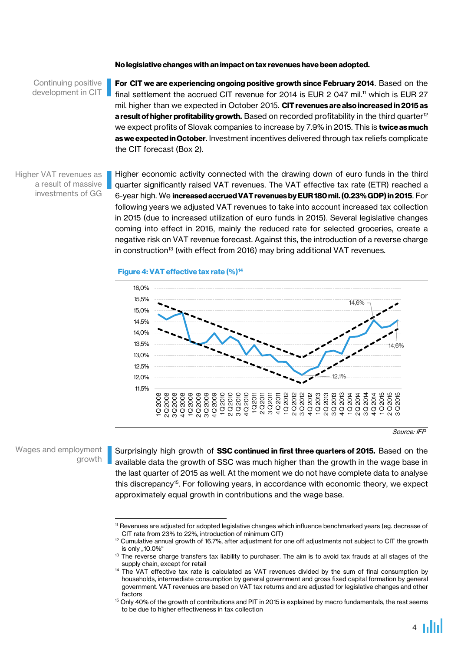#### **No legislative changes with an impact on tax revenues have been adopted.**

#### Continuing positive development in CIT

**For CIT we are experiencing ongoing positive growth since February 2014**. Based on the final settlement the accrued CIT revenue for 2014 is EUR 2 047 mil.<sup>11</sup> which is EUR 27 mil. higher than we expected in October 2015. **CIT revenues are also increased in 2015 as a result of higher profitability growth.** Based on recorded profitability in the third quarter<sup>12</sup> we expect profits of Slovak companies to increase by 7.9% in 2015. This is **twice asmuch as we expected in October**. Investment incentives delivered through tax reliefs complicate the CIT forecast (Box 2).

#### Higher VAT revenues as a result of massive investments of GG

Higher economic activity connected with the drawing down of euro funds in the third quarter significantly raised VAT revenues. The VAT effective tax rate (ETR) reached a 6-year high. We **increased accruedVAT revenues by EUR 180 mil. (0.23% GDP) in 2015**. For following years we adjusted VAT revenues to take into account increased tax collection in 2015 (due to increased utilization of euro funds in 2015). Several legislative changes coming into effect in 2016, mainly the reduced rate for selected groceries, create a negative risk on VAT revenue forecast. Against this, the introduction of a reverse charge in construction<sup>13</sup> (with effect from 2016) may bring additional VAT revenues.

#### **Figure4: VAT effective tax rate (%)<sup>14</sup>**



Source: IFP

Wages and employment growth

 $\overline{a}$ 

Surprisingly high growth of **SSC continued in first three quarters of 2015.** Based on the available data the growth of SSC was much higher than the growth in the wage base in the last quarter of 2015 as well. At the moment we do not have complete data to analyse this discrepancy<sup>15</sup>. For following years, in accordance with economic theory, we expect approximately equal growth in contributions and the wage base.

<sup>11</sup> Revenues are adjusted for adopted legislative changes which influence benchmarked years (eg. decrease of CIT rate from 23% to 22%, introduction of minimum CIT)

<sup>&</sup>lt;sup>12</sup> Cumulative annual growth of 16.7%, after adjustment for one off adjustments not subject to CIT the growth is only "10.0%"

<sup>&</sup>lt;sup>13</sup> The reverse charge transfers tax liability to purchaser. The aim is to avoid tax frauds at all stages of the supply chain, except for retail

<sup>&</sup>lt;sup>14</sup> The VAT effective tax rate is calculated as VAT revenues divided by the sum of final consumption by households, intermediate consumption by general government and gross fixed capital formation by general government. VAT revenues are based on VAT tax returns and are adjusted for legislative changes and other factors

 $15$  Only 40% of the growth of contributions and PIT in 2015 is explained by macro fundamentals, the rest seems to be due to higher effectiveness in tax collection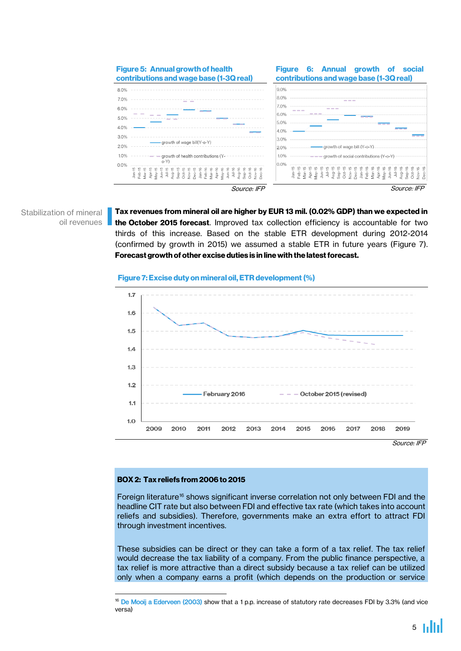

Stabilization of mineral oil revenues **Tax revenues from mineral oil are higher by EUR 13 mil. (0.02% GDP) than we expected in the October 2015 forecast**. Improved tax collection efficiency is accountable for two thirds of this increase. Based on the stable ETR development during 2012-2014 (confirmed by growth in 2015) we assumed a stable ETR in future years (Figure 7). **Forecast growth of other excise duties is in line with the latest forecast.**





## **BOX 2: Tax reliefs from 2006 to 2015**

1

Foreign literature<sup>16</sup> shows significant inverse correlation not only between FDI and the headline CIT rate but also between FDI and effective tax rate (which takes into account reliefs and subsidies). Therefore, governments make an extra effort to attract FDI through investment incentives.

These subsidies can be direct or they can take a form of a tax relief. The tax relief would decrease the tax liability of a company. From the public finance perspective, a tax relief is more attractive than a direct subsidy because a tax relief can be utilized only when a company earns a profit (which depends on the production or service

<sup>&</sup>lt;sup>16</sup> [De Mooij a Ederveen \(2003\)](http://www.cpb.nl/en/publication/taxation-and-foreign-direct-investment-synthesis-empirical-research-0) show that a 1 p.p. increase of statutory rate decreases FDI by 3.3% (and vice versa)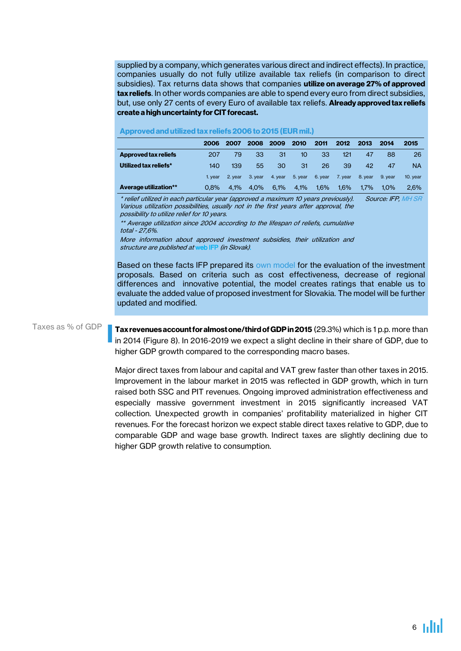supplied by a company, which generates various direct and indirect effects). In practice, companies usually do not fully utilize available tax reliefs (in comparison to direct subsidies). Tax returns data shows that companies **utilize on average 27% of approved tax reliefs**. In other words companies are able to spend every euro from direct subsidies, but, use only 27 cents of every Euro of available tax reliefs. **Already approved tax reliefs create a high uncertainty for CIT forecast.**

|                             | 2006    | 2007    | 2008    | 2009    | 2010    | 2011    | 2012    | 2013    | 2014    | 2015     |
|-----------------------------|---------|---------|---------|---------|---------|---------|---------|---------|---------|----------|
| <b>Approved tax reliefs</b> | 207     | 79      | 33      | 31      | 10      | 33      | 121     | 47      | 88      | 26       |
| Utilized tax reliefs*       | 140     | 139     | 55      | 30      | 31      | 26      | 39      | 42      | 47      | NA       |
|                             | 1. year | 2. vear | 3. vear | 4. year | 5. year | 6. year | 7. vear | 8. vear | 9. vear | 10. year |
| Average utilization**       | $0.8\%$ | 4.1%    | 4.0%    | 6.1%    | 4.1%    | 1,6%    | $1.6\%$ | 1.7%    | $1.0\%$ | 2.6%     |

#### **Approved and utilized tax reliefs 2006 to 2015 (EUR mil.)**

\* relief utilized in each particular year (approved a maximum 10 years previously). Various utilization possibilities, usually not in the first years after approval, the possibility to utilize relief for 10 years. Source: IFP, [MH SR](http://www.mhsr.sk/zoznam-podnikatelskych-subjektov--ktorym-bolo-schvalene-poskytnutie-regionalnej-pomoci-1/146712s) 

\*\* Average utilization since 2004 according to the lifespan of reliefs, cumulative total - 27,6%.

More information about approved investment subsidies, their utilization and structure are published at [web IFP](http://www.finance.gov.sk/Default.aspx?CatID=8911) (in Slovak).

Based on these facts IFP prepared its [own model](http://www.finance.gov.sk/Default.aspx?CatID=10142) for the evaluation of the investment proposals. Based on criteria such as cost effectiveness, decrease of regional differences and innovative potential, the model creates ratings that enable us to evaluate the added value of proposed investment for Slovakia. The model will be further updated and modified.

#### Taxes as % of GDP

**Tax revenues accountfor almost one/thirdof GDPin 2015** (29.3%) which is 1 p.p. more than in 2014 (Figure 8). In 2016-2019 we expect a slight decline in their share of GDP, due to higher GDP growth compared to the corresponding macro bases.

Major direct taxes from labour and capital and VAT grew faster than other taxes in 2015. Improvement in the labour market in 2015 was reflected in GDP growth, which in turn raised both SSC and PIT revenues. Ongoing improved administration effectiveness and especially massive government investment in 2015 significantly increased VAT collection. Unexpected growth in companies' profitability materialized in higher CIT revenues. For the forecast horizon we expect stable direct taxes relative to GDP, due to comparable GDP and wage base growth. Indirect taxes are slightly declining due to higher GDP growth relative to consumption.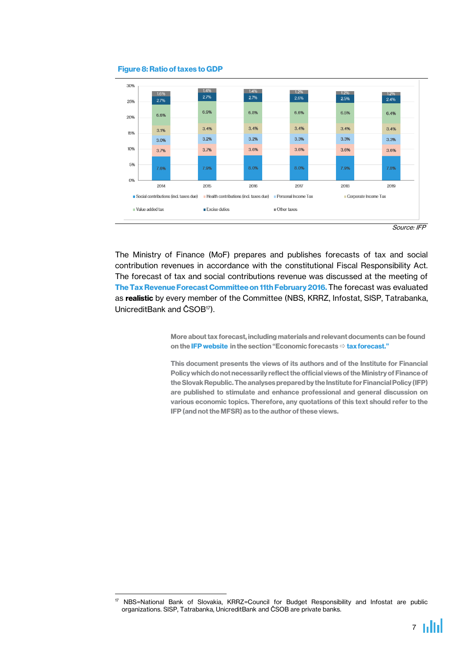

#### **Figure 8: Ratio of taxes to GDP**

1



The Ministry of Finance (MoF) prepares and publishes forecasts of tax and social contribution revenues in accordance with the constitutional Fiscal Responsibility Act. The forecast of tax and social contributions revenue was discussed at the meeting of **The Tax Revenue Forecast Committee on 11th February 2016.**The forecast was evaluated as **realistic** by every member of the Committee (NBS, KRRZ, Infostat, SlSP, Tatrabanka, UnicreditBank and ČSOB<sup>17</sup>).

> **More about tax forecast, including materials and relevant documents can be found on th[e IFP website i](http://www.finance.gov.sk/Default.aspx?CatID=44)n the section "Economic forecasts [tax forecast.](http://www.finance.gov.sk/Default.aspx?CatID=117)"**

**This document presents the views of its authors and of the Institute for Financial Policy which do not necessarily reflect the official views of the Ministry of Finance of the Slovak Republic. The analyses prepared by the Institute for Financial Policy (IFP) are published to stimulate and enhance professional and general discussion on various economic topics. Therefore, any quotations of this text should refer to the IFP (and not the MFSR) as to the author of these views.**

<sup>&</sup>lt;sup>17</sup> NBS=National Bank of Slovakia, KRRZ=Council for Budget Responsibility and Infostat are public organizations. SlSP, Tatrabanka, UnicreditBank and ČSOB are private banks.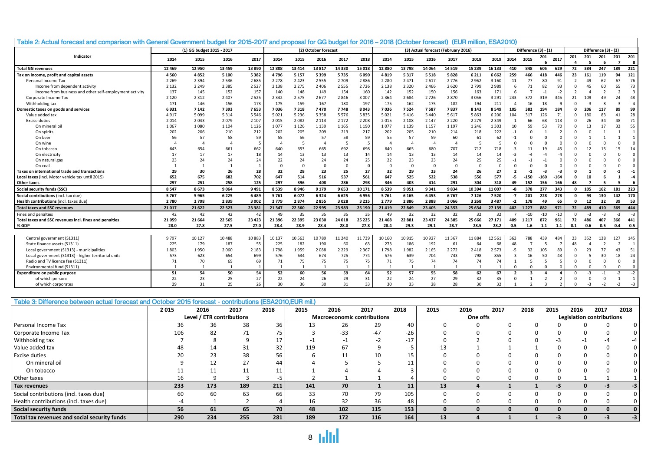| Table 2: Actual forecast and comparison with General Government budget for 2015-2017 and proposal for GG budget for 2016 - 2018 (October forecast) (EUR million, ESA2010) |          |                           |              |          |          |                |                      |         |                |         |          |           |                                     |          |          |                      |                |                |                |                      |          |          |          |                |
|---------------------------------------------------------------------------------------------------------------------------------------------------------------------------|----------|---------------------------|--------------|----------|----------|----------------|----------------------|---------|----------------|---------|----------|-----------|-------------------------------------|----------|----------|----------------------|----------------|----------------|----------------|----------------------|----------|----------|----------|----------------|
|                                                                                                                                                                           |          | (1) GG budget 2015 - 2017 |              |          |          |                | (2) October forecast |         |                |         |          |           | (3) Actual forecast (February 2016) |          |          | Difference (3) - (1) |                |                |                | Difference (3) - (2) |          |          |          |                |
| Indicator                                                                                                                                                                 | 2014     | 2015                      | 2016         | 2017     | 2014     | 2015           | 2016                 | 2017    | 2018           | 2014    | 2015     | 2016      | 2017                                | 2018     | 2019     | 2014                 | 2015           | 201            | 2017           | 201                  | 201<br>5 | 201<br>6 | 201<br>7 | 201<br>-8      |
| <b>Total GG revenues</b>                                                                                                                                                  | 12 4 6 9 | 12950                     | 13459        | 13890    | 12 808   | 13414          | 13817                | 14 3 30 | 15 018         | 12880   | 13798    | 14 0 64   | 14519                               | 15 2 3 9 | 16 133   | 410                  | 848            | 605            | 629            | 72                   | 384      | 247      | 189      | 221            |
| Tax on income, profit and capital assets                                                                                                                                  | 4560     | 4852                      | 5 1 0 0      | 5382     | 4796     | 5 1 5 7        | 5399                 | 5735    | 6090           | 4819    | 5 3 1 7  | 5518      | 5828                                | 6 2 1 1  | 6 6 6 2  | 259                  | 466            | 418            | 446            | 23                   | 161      | 119      | 94       | 121            |
| Personal Income Tax                                                                                                                                                       | 2 2 6 9  | 2 3 9 4                   | 2536         | 2685     | 2 2 7 8  | 2423           | 2555                 | 2 7 0 9 | 2886           | 2 2 8 0 | 2 4 7 1  | 2617      | 2776                                | 2 9 6 2  | 3 1 6 0  | 11                   | 77             | 80             | 91             |                      | 49       | 62       | 67       | 76             |
| Income from dependent activity                                                                                                                                            | 2 1 3 2  | 2 2 4 9                   | 2 3 8 5      | 2527     | 2 1 3 8  | 2 2 7 5        | 2 4 0 6              | 2 5 5 5 | 2726           | 2 1 3 8 | 2 3 2 0  | 2466      | 2620                                | 2799     | 2989     |                      | 71             | 82             | 93             |                      |          | 60       | 65       | 73             |
| Income from business and other self-employment activity                                                                                                                   | 137      | 145                       | 152          | 157      | 140      | 148            | 149                  | 154     | 160            | 142     | 152      | 150       | 156                                 | 163      | 171      |                      |                | $-1$           | $-2$           |                      |          |          |          | $\overline{3}$ |
| Corporate Income Tax                                                                                                                                                      | 2 1 2 0  | 2 3 1 2                   | 2407         | 2525     | 2 3 4 2  | 2575           | 2677                 | 2846    | 3 0 0 7        | 2 3 6 4 | 2 6 8 4  | 2726      | 2870                                | 3056     | 3 2 9 1  | 243                  | 372            | 319            | 345            | 21                   |          | 49       |          | 48             |
| Withholding tax                                                                                                                                                           | 171      | 146                       | 156          | 173      | 175      | 159            | 167                  | 180     | 197            | 175     | 162      | 175       | 182                                 | 194      | 211      |                      | 16             | 18             | q              |                      |          |          |          | $-4$           |
| Domestic taxes on goods and services                                                                                                                                      | 6931     | 7 1 4 2                   | 7393         | 7653     | 7036     | 7318           | 7470                 | 7748    | 8043           | 7036    | 7524     | 7587      | 7837                                | 8 1 4 3  | 8549     | 105                  | 382            | 194            | 184            |                      |          | 117      |          | 99             |
| Value added tax                                                                                                                                                           | 4917     | 5099                      | 5314         | 5546     | 5021     | 5 2 3 6        | 5358                 | 5 5 7 6 | 5835           | 5021    | 5416     | 5440      | 5617                                | 5863     | 6 2 0 0  | 104                  | 317            | 126            | 71             |                      |          | 83       |          | 28             |
| <b>Excise duties</b>                                                                                                                                                      | 2014     | 2043                      | 2079         | 2 1 0 7  | 2015     | 2082           | 2 1 1 3              | 2 1 7 2 | 2 2 0 8        | 2015    | 2 1 0 8  | 2 1 4 7   | 2 2 2 0                             | 2 2 7 9  | 2 3 4 9  |                      | 66             | 68             | 113            | 0                    | 26       | 34       |          | 71             |
| On mineral oil                                                                                                                                                            | 1067     | 1080                      | 1 1 0 4      | 1 1 2 6  | 1077     | 1 1 2 6        | 1 1 3 9              | 1 1 6 5 | 1 1 9 0        | 1077    | 1 1 3 9  | 1 1 5 7   | 1 1 9 7                             | 1 2 4 6  | 1 3 0 3  | 10                   | 59             | 53             | 70             |                      |          |          |          | 55             |
| On spirits                                                                                                                                                                | 202      | 206                       | 210          | 212      | 202      | 205            | 209                  | 213     | 217            | 202     | 205      | 210       | 214                                 | 218      | 222      | $-1$                 | $\Omega$       |                |                |                      |          |          |          |                |
| On beer                                                                                                                                                                   | 56       | 57                        | 58           | 59       | 55       | 56             | 57                   | 58      | 59             | 55      | 57       | 59        | 60                                  | 61       | 62       |                      | $\Omega$       |                | $\Omega$       |                      |          |          |          |                |
| On wine                                                                                                                                                                   |          | $\Delta$                  | $\mathbf{A}$ | 5        |          | 5              |                      |         | 5              |         |          | $\Lambda$ | $\Delta$                            | -5       |          |                      |                |                | $\Omega$       |                      |          |          |          | $\sqrt{ }$     |
| On tobacco                                                                                                                                                                | 643      | 654                       | 661          | 662      | 640      | 653            | 665                  | 692     | 698            | 640     | 665      | 680       | 707                                 | 712      | 718      | -3                   |                | 19             |                |                      |          |          |          | 14             |
| On electricity                                                                                                                                                            | 17       | 17                        | 17           | 18       | 14       | 13             | 13                   | 13      | 14             | 14      | 13       | 13        | 14                                  | 14       | 14       | $-3$                 |                |                |                |                      |          |          |          | $\sqrt{ }$     |
| On natural gas                                                                                                                                                            | 23       | 24                        | 24           | 24       | 22       | 24             | 24                   | 24      | 25             | 22      | 23       | 23        | 24                                  | 25       | 25       |                      |                |                | $\Omega$       |                      |          |          |          | $\sqrt{ }$     |
| On coa                                                                                                                                                                    |          |                           |              |          |          | $\Omega$       |                      |         | $\Omega$       |         | $\Omega$ | $\Omega$  | $\Omega$                            |          |          |                      |                |                |                |                      |          |          |          |                |
| <b>Taxes on international trade and transactions</b>                                                                                                                      | 29       | 30                        | 26           | 28       | 32       | 28             | 23                   | 25      | 27             | 32      | 29       | 23        | 24                                  | 26       | 27       |                      |                | -3             | -3             |                      |          |          |          | $-1$           |
| Local taxes (incl. Motor vehicle tax until 2015)                                                                                                                          | 652      | 675                       | 682          | 702      | 647      | 514            | 516                  | 537     | 561            | 647     | 525      | 522       | 538                                 | 556      | 577      | -5                   | $-150$         | $-160$         | $-164$         |                      | 10       |          |          | $-4$           |
| Other taxes                                                                                                                                                               | 297      | 251                       | 258          | 125      | 297      | 396            | 408                  | 286     | 298            | 346     | 403      | 414       | 291                                 | 304      | 318      | 49                   | 152            | 156            | 166            | 48                   |          |          |          |                |
| Social security funds (SSC)                                                                                                                                               | 8547     | 8673                      | 9064         | 9491     | 8539     | 8946           | 9 1 7 9              | 9653    | 10 17 1        | 8539    | 9051     | 9341      | 9834                                | 10 3 94  | 11007    | -8                   | 378            | 277            | 343            | $\Omega$             | 105      | 162      | 181      | 223            |
| Social contributions (incl. tax due)                                                                                                                                      | 5767     | 5965                      | 6225         | 6489     | 5761     | 6072           | 6324                 | 6625    | 6956           | 5761    | 6 1 6 5  | 6453      | 6767                                | 7 1 2 6  | 7520     | $-7$                 | 201            | 228            | 278            | $\Omega$             | 93       | 130      | 142      | 170            |
| Health contributions (incl. taxes due)                                                                                                                                    | 2780     | 2708                      | 2839         | 3002     | 2779     | 2874           | 2855                 | 3028    | 3 2 1 5        | 2779    | 2886     | 2888      | 3 0 6 6                             | 3 2 6 8  | 3487     | $-2$                 | 178            | 49             | 65             | 0                    | 12       | 32       | 39       | - 53           |
| <b>Total taxes and SSC revenues</b>                                                                                                                                       | 21 0 17  | 21 6 22                   | 22 5 23      | 23 3 8 1 | 21 3 4 7 | 22 3 60        | 22 9 95              | 23 983  | 25 190         | 21419   | 22 849   | 23 4 05   | 24 3 5 3                            | 25 634   | 27 139   |                      | 402 1227       | 882            | 971            | 72                   | 489      | 410      | 369      | 444            |
| Fines and penalties                                                                                                                                                       | 42       | 42                        | 42           | 42       | 49       | 35             | 35                   | 35      | 35             | 49      | 32       | 32        | 32                                  | 32       | 32       |                      | $-10$          | $-10$          | $-10$          | $\Omega$             | $-3$     | $-3$     | $-3$     | $-3$           |
| Total taxes and SSC revenues incl. fines and penalties                                                                                                                    | 21059    | 21 6 6 4                  | 22 5 65      | 23 4 23  | 21 3 96  | 22 3 95        | 23 0 30              | 24 018  | 25 2 25        | 21 4 68 | 22 881   | 23 4 37   | 24 3 8 5                            | 25 666   | 27 17 1  | 409                  | 1 2 1 7        | 872            | 961            | 72                   | 486      | 407      | 366      | 441            |
| % GDP                                                                                                                                                                     | 28.0     | 27.8                      | 27.5         | 27.0     | 28.4     | 28.9           | 28.4                 | 28.0    | 27.8           | 28.4    | 29.3     | 29.1      | 28.7                                | 28.5     | 28.2     | 0.5                  | 1.6            | 1.1            | 1.1            | 0.1                  | 0.6      | 0.5      | 0.4      | 0.5            |
|                                                                                                                                                                           |          |                           |              |          |          |                |                      |         |                |         |          |           |                                     |          |          |                      |                |                |                |                      |          |          |          |                |
| Central government (S1311)                                                                                                                                                | 9797     | 10 127                    | 10488        | 10883    | 10 137   | 10563          | 10789                | 11 240  | 11739          | 10 160  | 10915    | 10927     | 11 3 6 7                            | 11884    | 12 5 6 1 | 363                  | 788            | 439            | 484            | 23                   |          | 138      | 127      | 145            |
| State finance assets (S1311)                                                                                                                                              | 225      | 179                       | 187          | 55       | 225      | 182            | 190                  | 60      | 63             | 273     | 186      | 192       | 61                                  | 64       | 68       | 48                   | $\overline{7}$ | - 5            | 7              |                      |          |          |          | $\overline{1}$ |
| Local government (S1313) - municipalities                                                                                                                                 | 1803     | 1950                      | 2060         | 2 1 8 3  | 1798     | 1959           | 2088                 | 2 2 2 9 | 2 3 6 7        | 1798    | 1982     | 2 1 6 5   | 2 2 7 2                             | 2418     | 2573     | $-5$                 | 32             | 105            | 89             |                      |          | 77       | 43       | 51             |
| Local government (S1313) - higher territorial units                                                                                                                       | 573      | 623                       | 654          | 699      | 576      | 634            | 674                  | 725     | 774            | 576     | 639      | 704       | 743                                 | 798      | 855      |                      | 16             | 50             | 43             |                      |          | 30       |          | 24             |
| Radio and TV licence fee (S1311)                                                                                                                                          | 71       | 70                        | 69           | 69       | 71       | 75             | 75                   | 75      | 75             | 71      | 75       | 74        | 74                                  | 74       | 74       |                      | 5              | -5             | 5              |                      | $\Omega$ | $\Omega$ | $\Omega$ | $\Omega$       |
| Environmental fund (S1311)                                                                                                                                                |          |                           |              |          |          | $\overline{1}$ |                      |         | $\overline{1}$ |         |          |           |                                     |          |          |                      | $\Omega$       | $\Omega$       | $\Omega$       |                      | $\Omega$ | $\Omega$ | $\Omega$ | $\Omega$       |
| Expenditure on public purpose                                                                                                                                             | 51       | 54                        | 50           | 54       | 52       | 60             | 56                   | 59      | 64             | 52      | 57       | 55        | 58                                  | 62       | 67       |                      | 3              | $\overline{a}$ | 4              | $\Omega$             | $-3$     | $-1$     | $-2$     | $-2$           |
| of which persons                                                                                                                                                          | 22       | 23                        | 25           | 27       | 22       | 24             | 26                   | 29      | 31             | 22      | 24       | 27        | 29                                  | 32       | 35       |                      |                | $\overline{2}$ | 2              | $\Omega$             | $\Omega$ | $\Omega$ |          | $\overline{1}$ |
| of which corporates                                                                                                                                                       | 29       | 31                        | 25           | 26       | 30       | 36             | 30                   | 31      | 33             | 30      | 33       | 28        | 28                                  | 30       | 32       |                      | $\overline{2}$ | $\mathbf{3}$   | $\overline{2}$ | $\Omega$             | $-3$     | $-2$     | $-2$     | $-3$           |

#### Table 3: Difference between actual forecast and October 2015 forecast - contributions (ESA2010,EUR mil.)

|                                              | 2015                      | 2016 | 2017 | 2018 | 2015 | 2016                               | 2017  | 2018  | 2015     | 2016 | 2017 | 2018 | 2015 | 2016                             | 2017 | 2018 |  |  |
|----------------------------------------------|---------------------------|------|------|------|------|------------------------------------|-------|-------|----------|------|------|------|------|----------------------------------|------|------|--|--|
|                                              | Level / ETR contributions |      |      |      |      | <b>Macroeconomic contributions</b> |       |       | One offs |      |      |      |      | <b>Legislation contributions</b> |      |      |  |  |
| Personal Income Tax                          | 36                        | 36   | 38   | 36   |      | 26                                 | 29    | 40    |          |      |      |      |      |                                  |      |      |  |  |
| Corporate Income Tax                         | 106                       | 82   |      | 75   |      | $-33$                              | $-47$ | $-26$ |          |      |      |      |      |                                  |      |      |  |  |
| Withholding tax                              |                           |      |      |      |      |                                    |       | $-17$ |          |      |      |      |      |                                  |      |      |  |  |
| Value added tax                              | 48                        | 14   | 31   | 32   | 119  | 67                                 |       | כ-    |          |      |      |      |      |                                  |      |      |  |  |
| Excise duties                                |                           | 23   | 38   | 56   |      |                                    | 10    | 15    |          |      |      |      |      |                                  |      |      |  |  |
| On mineral oil                               |                           | 12   |      | 44   |      |                                    |       | . .   |          |      |      |      |      |                                  |      |      |  |  |
| On tobacco                                   |                           | 11   |      | 11   |      |                                    |       |       |          |      |      |      |      |                                  |      |      |  |  |
| Other taxes                                  |                           |      |      | -5   |      |                                    |       |       |          |      |      |      |      |                                  |      |      |  |  |
| Tax revenues                                 | 233                       | 173  | 189  | 211  | 141  | 70                                 |       | 11    | 13       |      |      |      | -3   |                                  |      |      |  |  |
| Social contributions (incl. taxes due)       | 60                        | 60   | 63   | 66   | 33   | 70                                 | 79    | 105   |          |      |      |      |      |                                  |      |      |  |  |
| Health contributions (incl. taxes due)       |                           |      |      |      | 16   | 32                                 | 36    | 48    |          |      |      |      |      |                                  |      |      |  |  |
| Social security funds                        | 56                        | 61   | 65   | 70   | 48   | 102                                | 115   | 153   |          |      |      |      |      |                                  |      |      |  |  |
| Total tax revenues and social security funds | 290                       | 234  | 255  | 281  | 189  | 172                                | 116   | 164   | 13       |      |      |      |      |                                  |      |      |  |  |